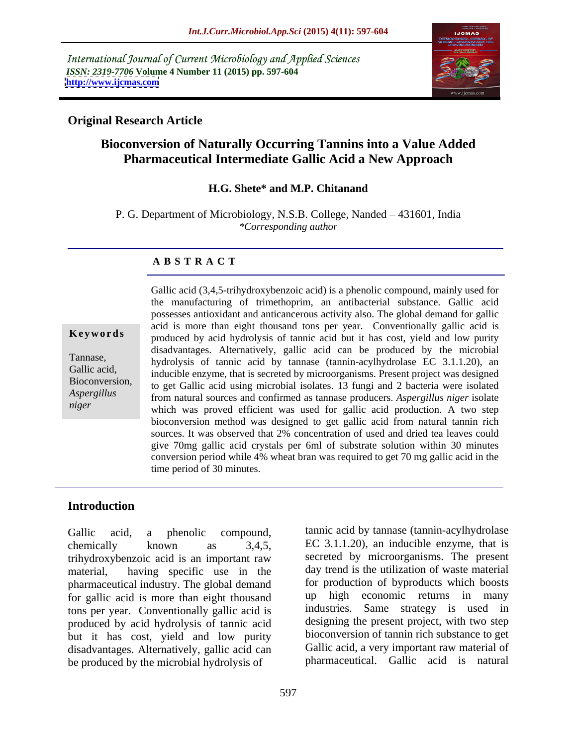International Journal of Current Microbiology and Applied Sciences *ISSN: 2319-7706* **Volume 4 Number 11 (2015) pp. 597-604 <http://www.ijcmas.com>**



### **Original Research Article**

### **Bioconversion of Naturally Occurring Tannins into a Value Added Pharmaceutical Intermediate Gallic Acid a New Approach**

### **H.G. Shete\* and M.P. Chitanand**

P. G. Department of Microbiology, N.S.B. College, Nanded - 431601, India *\*Corresponding author*

### **A B S T R A C T**

Bioconversion, *niger*

Gallic acid (3,4,5-trihydroxybenzoic acid) is a phenolic compound, mainly used for the manufacturing of trimethoprim, an antibacterial substance. Gallic acid possesses antioxidant and anticancerous activity also. The global demand for gallic acid is more than eight thousand tons per year. Conventionally gallic acid is **Keywords** produced by acid hydrolysis of tannic acid but it has cost, yield and low purity disadvantages. Alternatively, gallic acid can be produced by the microbial Tannase,<br>
hydrolysis of tannic acid by tannase (tannin-acylhydrolase EC 3.1.1.20), an Gallic acid,<br>inducible enzyme, that is secreted by microorganisms. Present project was designed to get Gallic acid using microbial isolates. 13 fungi and 2 bacteria were isolated from natural sources and confirmed as tannase producers. *Aspergillus niger* isolate *Aspergillus*  which was proved efficient was used for gallic acid production. A two step bioconversion method was designed to get gallic acid from natural tannin rich sources. It was observed that 2% concentration of used and dried tea leaves could give 70mg gallic acid crystals per 6ml of substrate solution within 30 minutes conversion period while 4% wheat bran was required to get 70 mg gallic acid in the time period of 30 minutes.

### **Introduction**

chemically known as  $3,4,5$ , EC 3.1.1.20), an inducible enzyme, that is trihydroxybenzoic acid is an important raw material, having specific use in the day trend is the utilization of waste material pharmaceutical industry. The global demand for gallic acid is more than eight thousand tons per year. Conventionally gallic acid is produced by acid hydrolysis of tannic acid but it has cost, yield and low purity disadvantages. Alternatively, gallic acid can be produced by the microbial hydrolysis of

Gallic acid, a phenolic compound, tannic acid by tannase (tannin-acylhydrolase secreted by microorganisms. The present for production of byproducts which boosts up high economic returns in many industries. Same strategy is used in designing the present project, with two step bioconversion of tannin rich substance to get Gallic acid, a very important raw material of pharmaceutical. Gallic acid is natural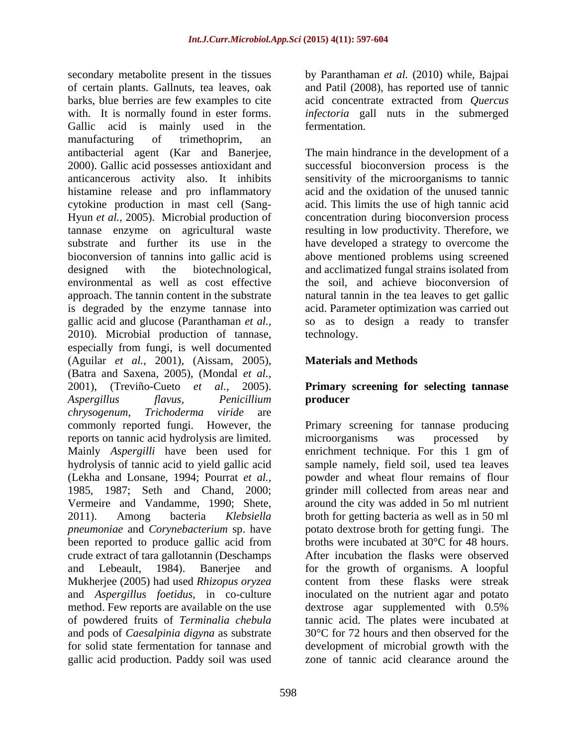secondary metabolite present in the tissues by Paranthaman *et al.* (2010) while, Bajpai of certain plants. Gallnuts, tea leaves, oak and Patil (2008), has reported use of tannic barks, blue berries are few examples to cite acid concentrate extracted from *Quercus*  with. It is normally found in ester forms. *infectoria* gall nuts in the submerged Gallic acid is mainly used in the fermentation. manufacturing of trimethoprim, an antibacterial agent (Kar and Banerjee, 2000). Gallic acid possesses antioxidant and anticancerous activity also. It inhibits sensitivity of the microorganisms to tannic histamine release and pro inflammatory cytokine production in mast cell (Sang- Hyun *et al.,* 2005). Microbial production of concentration during bioconversion process tannase enzyme on agricultural waste resulting in low productivity. Therefore, we substrate and further its use in the have developed a strategy to overcome the bioconversion of tannins into gallic acid is above mentioned problems using screened designed with the biotechnological, and acclimatized fungal strains isolated from environmental as well as cost effective the soil, and achieve bioconversion of approach. The tannin content in the substrate is degraded by the enzyme tannase into acid. Parameteroptimization was carried out gallic acid and glucose (Paranthaman *et al.,* so as to design a ready to transfer 2010). Microbial production of tannase, especially from fungi, is well documented (Aguilar *et al.,* 2001), (Aissam, 2005), (Batra and Saxena, 2005), (Mondal *et al.,* 2001), (Treviño-Cueto *et al.,* 2005). **Primary screening for selecting tannase** *Aspergillus flavus, Penicillium chrysogenum*, *Trichoderma viride* are commonly reported fungi. However, the Primary screening for tannase producing reports on tannic acid hydrolysis are limited. The microorganisms was processed by Mainly *Aspergilli* have been used for enrichment technique. For this 1 gm of hydrolysis of tannic acid to yield gallic acid sample namely, field soil, used tea leaves (Lekha and Lonsane, 1994; Pourrat *et al.,* powder and wheat flour remains of flour 1985, 1987; Seth and Chand, 2000; grinder mill collected from areas near and Vermeire and Vandamme, 1990; Shete, around the city was added in 5o ml nutrient 2011). Among bacteria *Klebsiella*  broth for getting bacteria as well as in 50 ml *pneumoniae* and *Corynebacterium* sp. have been reported to produce gallic acid from crude extract of tara gallotannin (Deschamps and Lebeault, 1984). Banerjee and for the growth of organisms. A loopful Mukherjee (2005) had used *Rhizopus oryzea* and *Aspergillus foetidus*, in co-culture inoculated on the nutrient agar and potato method. Few reports are available on the use dextrose agar supplemented with 0.5% of powdered fruits of *Terminalia chebula* tannic acid. The plates were incubated at and pods of *Caesalpinia digyna* as substrate 30°C for 72 hours and then observed for the for solid state fermentation for tannase and gallic acid production. Paddy soil was used

fermentation.<br>The main hindrance in the development of a successful bioconversion process is the acid and the oxidation of the unused tannic acid. This limits the use of high tannic acid natural tannin in the tea leaves to get gallic technology.

### **Materials and Methods**

# **producer**

microorganisms was processed by potato dextrose broth for getting fungi. The broths were incubated at 30°C for 48 hours. After incubation the flasks were observed content from these flasks were streak dextrose agar supplemented with 0.5% development of microbial growth with the zone of tannic acid clearance around the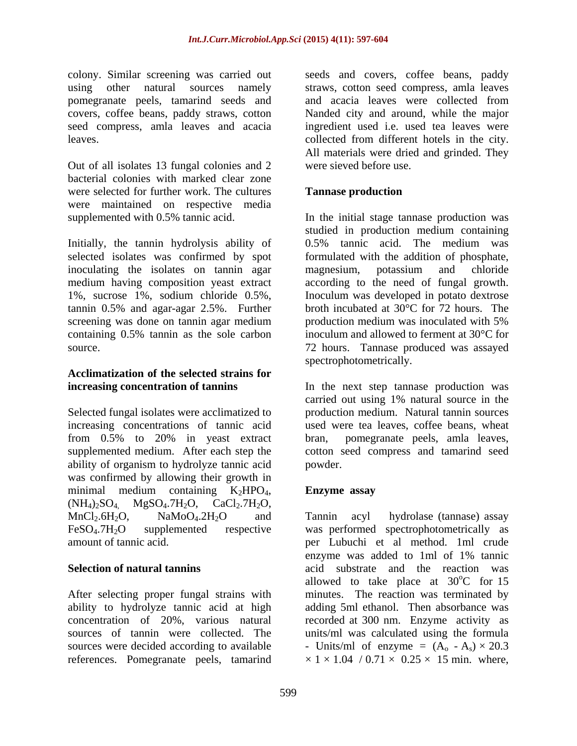pomegranate peels, tamarind seeds and

Out of all isolates 13 fungal colonies and 2 bacterial colonies with marked clear zone were selected for further work. The cultures **Tannase production** were maintained on respective media

Initially, the tannin hydrolysis ability of 0.5% tannic acid. The medium was selected isolates was confirmed by spot inoculating the isolates on tannin agar magnesium, potassium and chloride medium having composition yeast extract according to the need of fungal growth. 1%, sucrose 1%, sodium chloride 0.5%, Inoculum was developed in potato dextrose tannin 0.5% and agar-agar 2.5%. Further broth incubated at 30°C for 72 hours. The screening was done on tannin agar medium production medium was inoculated with 5% containing 0.5% tannin as the sole carbon source. 72 hours. Tannase produced was assayed

## **Acclimatization of the selected strains for**

Selected fungal isolates were acclimatized to increasing concentrations of tannic acid from 0.5% to 20% in yeast extract ability of organism to hydrolyze tannic acid was confirmed by allowing their growth in<br>minimal medium containing  $K_2HPO_4$ , minimal medium containing  $K_2HPO_4$ , **Enzyme assay**<br>(NH<sub>4</sub>)<sub>2</sub>SO<sub>4,</sub> MgSO<sub>4</sub>.7H<sub>2</sub>O, CaCl<sub>2</sub>.7H<sub>2</sub>O,

After selecting proper fungal strains with ability to hydrolyze tannic acid at high adding 5ml ethanol. Then absorbance was concentration of 20%, various natural recorded at 300 nm. Enzyme activity as sources of tannin were collected. The units/ml was calculated using the formula sources were decided according to available - Units/ml of enzyme =  $(A_0 - A_s) \times 20.3$ references. Pomegranate peels, tamarind

colony. Similar screening was carried out seeds and covers, coffee beans, paddy using other natural sources namely straws, cotton seed compress, amla leaves covers, coffee beans, paddy straws, cotton Nanded city and around, while the major seed compress, amla leaves and acacia ingredient used i.e. used tea leaves were leaves. collected from different hotels in the city. and acacia leaves were collected from All materials were dried and grinded. They were sieved before use.

### **Tannase production**

supplemented with 0.5% tannic acid. In the initial stage tannase production was studied in production medium containing 0.5% tannic acid. The medium was formulated with the addition of phosphate, magnesium, potassium and chloride production medium was inoculated with 5% inoculum and allowed to ferment at 30°C for spectrophotometrically.

**increasing concentration of tannins** In the next step tannase production was supplemented medium. After each step the cotton seed compress and tamarind seed carried out using 1% natural source in the production medium. Natural tannin sources used were tea leaves, coffee beans, wheat pomegranate peels, amla leaves, powder.

### **Enzyme assay**

 $MnCl<sub>2</sub>.6H<sub>2</sub>O$ ,  $NaMoO<sub>4</sub>.2H<sub>2</sub>O$  and Tannin acyl hydrolase (tannase) assay FeSO<sub>4</sub>.7H<sub>2</sub>O supplemented respective was performed spectrophotometrically as amount of tannic acid. per Lubuchi et al method. 1ml crude **Selection of natural tannins** acid substrate and the reaction was Tannin acyl hydrolase (tannase) assay enzyme was added to 1ml of 1% tannic allowed to take place at  $30^{\circ}$ C for 15  $^{\circ}$ C for 15 minutes. The reaction was terminated by units/ml was calculated using the formula<br>- Units/ml of enzyme =  $(A_0 - A_s) \times 20.3$  $\times$  1  $\times$  1.04 / 0.71  $\times$  0.25  $\times$  15 min. where,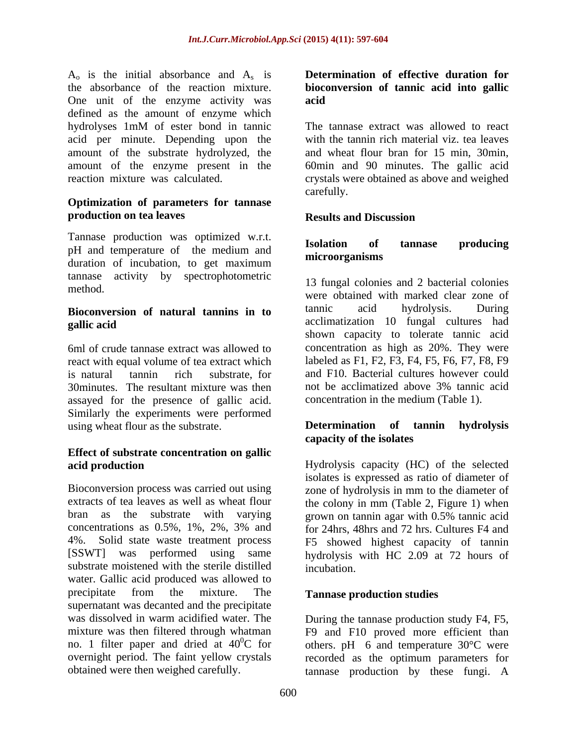$A_0$  is the initial absorbance and  $A_s$  is the absorbance of the reaction mixture. One unit of the enzyme activity was **acid** defined as the amount of enzyme which hydrolyses 1mM of ester bond in tannic acid per minute. Depending upon the amount of the substrate hydrolyzed, the amount of the enzyme present in the 60min and 90 minutes. The gallic acid

### **Optimization of parameters for tannase production on tea leaves production on tea leaves production Results** and **Discussion**

Tannase production was optimized w.r.t.<br> **Isolation** of **tannase producing** pH and temperature of the medium and **nicroorganisms** duration of incubation, to get maximum tannase activity by spectrophotometric

react with equal volume of tea extract which 30 minutes. The resultant mixture was then least of the acclimatized above 3% tannic acid assayed for the presence of gallic acid. Similarly the experiments were performed<br>using wheat flour as the substrate.<br>Determination of tannin hydrolysis using wheat flour as the substrate.

## **Effect of substrate concentration on gallic**

Bioconversion process was carried out using zone of hydrolysis in mm to the diameter of extracts of tea leaves as well as wheat flour the colony in mm (Table 2, Figure 1) when bran as the substrate with varying grown on tannin agar with 0.5% tannic acid concentrations as 0.5%, 1%, 2%, 3% and for 24hrs, 48hrs and 72 hrs. Cultures F4 and 4%. Solid state waste treatment process F5 showed highest capacity of tannin [SSWT] was performed using same hydrolysis with HC 2.09 at 72 hours of substrate moistened with the sterile distilled incubation. water. Gallic acid produced was allowed to precipitate from the mixture. The **Tannase production studies** supernatant was decanted and the precipitate was dissolved in warm acidified water. The During the tannase production study F4, F5, mixture was then filtered through whatman F9 and F10 proved more efficient than no. 1 filter paper and dried at  $40^{\circ}$ C for others. pH 6 and temperature  $30^{\circ}$ C were overnight period. The faint yellow crystals recorded as the optimum parameters for

### **Determination of effective duration for bioconversion of tannic acid into gallic acid**

reaction mixture was calculated. crystals were obtained as above and weighed The tannase extract was allowed to react with the tannin rich material viz. tea leaves and wheat flour bran for 15 min, 30min, carefully.

### **Results and Discussion**

### **Isolation of tannase producing microorganisms**

method. The initial colonies and 2 bacterial colonies and 2 bacterial colonies **Bioconversion of natural tannins in to gallic acid acclimatization** 10 fungal cultures had 6ml of crude tannase extract was allowed to concentration as high as 20%. They were is natural tannin rich substrate, for and F10. Bacterial cultures however could 13 fungal colonies and 2 bacterial colonies tannic acid hydrolysis. During shown capacity to tolerate tannic acid labeled as F1, F2, F3, F4, F5, F6, F7, F8, F9 not be acclimatized above 3% tannic acid concentration in the medium (Table 1).

### **Determination of tannin hydrolysis capacity of the isolates**

**acid production** Hydrolysis capacity (HC) of the selected isolates is expressed as ratio of diameter of grown on tannin agar with 0.5% tannic acid incubation.

### **Tannase production studies**

obtained were then weighed carefully. tannase production by these fungi. A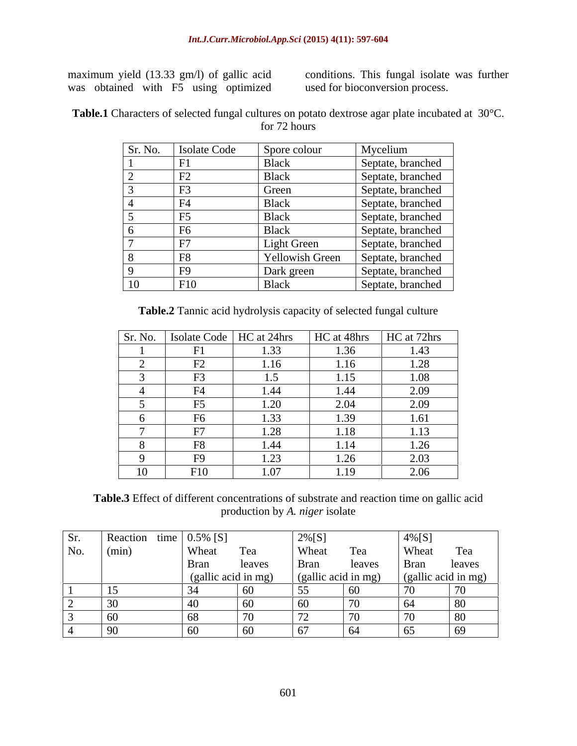maximum yield (13.33 gm/l) of gallic acid was obtained with F5 using optimized

conditions. This fungal isolate was further used for bioconversion process.

**Table.1** Characters of selected fungal cultures on potato dextrose agar plate incubated at 30°C.<br>for 72 hours for 72 hours

|    | Sr. No. Ssolate Code | Spore colour           | Mycelium          |
|----|----------------------|------------------------|-------------------|
|    |                      | <b>Black</b>           | Septate, branched |
|    |                      | <b>Black</b>           | Septate, branched |
|    |                      | Green                  | Septate, branched |
|    |                      | <b>Black</b>           | Septate, branched |
|    |                      | <b>Black</b>           | Septate, branched |
|    |                      | <b>Black</b>           | Septate, branched |
|    |                      | Light Green            | Septate, branched |
|    |                      | <b>Yellowish Green</b> | Septate, branched |
|    |                      | Dark green             | Septate, branched |
| 10 | F10                  | <b>Black</b>           | Septate, branched |

**Table.2** Tannic acid hydrolysis capacity of selected fungal culture

| Sr. No. | <b>Isolate Code</b>   HC at 24hrs       |      | HC at 48hrs | HC at 72hrs |
|---------|-----------------------------------------|------|-------------|-------------|
|         | Е1<br>1.1                               | 1.33 | 1.36        | 1.43        |
|         | F <sub>2</sub><br>$\mathbf{L}^{\prime}$ | 1.16 | 1.16        | 1.28        |
|         | $E^2$<br>T.                             | ل. ا | 1.15        | 1.08        |
|         | F <sub>4</sub>                          | 1.44 | 1.44        | 2.09        |
|         | г<<br>$\cdot$                           | 1.20 | 2.04        | 2.09        |
|         | F <sub>6</sub>                          | 1.33 | 1.39        | 1.61        |
|         | F7                                      | 1.28 | 1.18        | 1.13        |
|         | F8                                      | 1.44 | 1.14        | 1.26        |
|         | F9                                      | 1.23 | 1.26        | 2.03        |
| 10      | F10                                     | 1.07 | 1.19        | 2.06        |

**Table.3** Effect of different concentrations of substrate and reaction time on gallic acid production by *A. niger* isolate

| Sr.                      | Reaction time $\vert 0.5\%$ [S] |                     |        | $2\%$ [S]           |                      | $4\%$ [S]   |                     |
|--------------------------|---------------------------------|---------------------|--------|---------------------|----------------------|-------------|---------------------|
| No.                      | (min)                           | Wheat               | Tea    | Wheat               | Tea                  | Wheat       | Tea                 |
|                          |                                 | <b>Bran</b>         | leaves | <b>Bran</b>         | leaves               | <b>Bran</b> | leaves              |
|                          |                                 | (gallic acid in mg) |        | (gallic acid in mg) |                      |             | (gallic acid in mg) |
|                          |                                 |                     | 60     |                     |                      | , v         | $\overline{a}$      |
| $\overline{\phantom{0}}$ | -30                             |                     | 60     | 60                  | $\sim$ $\sim$<br>, v | 64          | 80                  |
|                          | 60                              | vσ                  | 70     |                     | , v                  | ιv          | 80                  |
|                          | 90                              | v.                  | 60     |                     | 64                   | 65          | 69                  |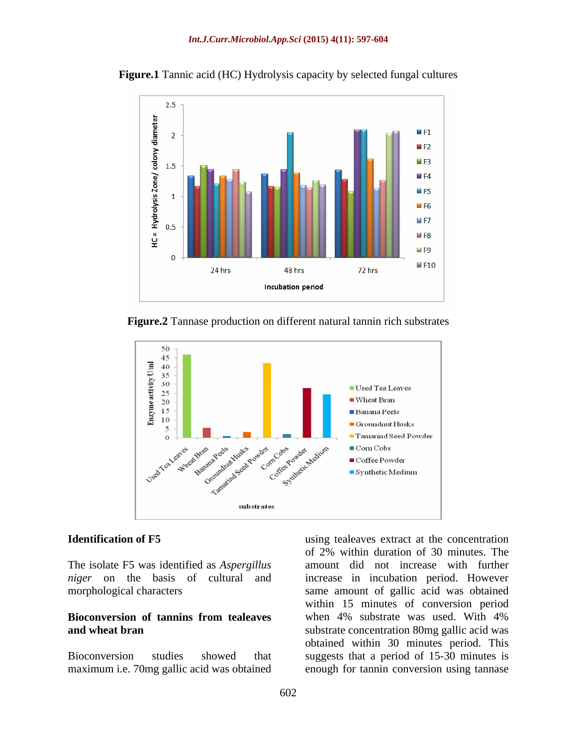

**Figure.1** Tannic acid (HC) Hydrolysis capacity by selected fungal cultures

**Figure.2** Tannase production on different natural tannin rich substrates



maximum i.e. 70mg gallic acid was obtained enough for tannin conversion using tannase

**Identification of F5** Using tealeaves extract at the concentration The isolate F5 was identified as *Aspergillus*  amount did not increase with further *niger* on the basis of cultural and increase in incubation period. However morphological characters same amount of gallic acid was obtained **Bioconversion of tannins from tealeaves and wheat bran** substrate concentration 80mg gallic acid was Bioconversion studies showed that suggests that a period of 15-30 minutes is of 2% within duration of 30 minutes. The within 15 minutes of conversion period when 4% substrate was used. With 4% obtained within 30 minutes period. This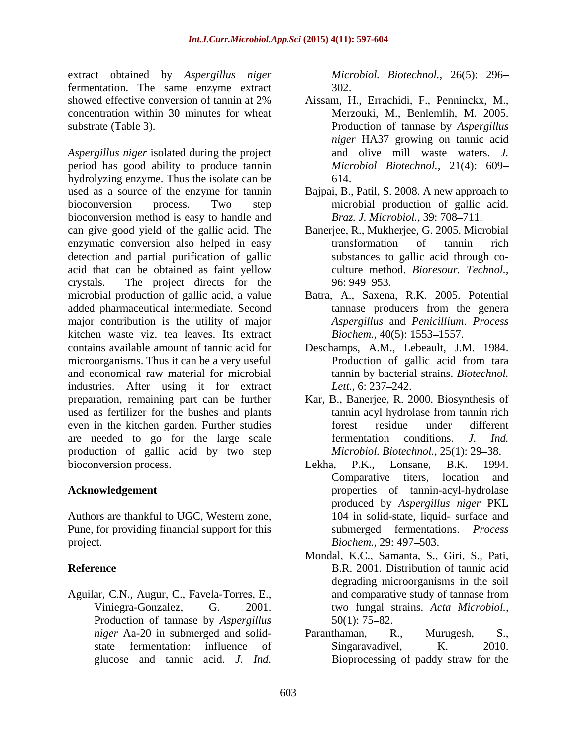extract obtained by *Aspergillus niger* fermentation. The same enzyme extract 302. concentration within 30 minutes for wheat

*Aspergillus niger* isolated during the project period has good ability to produce tannin hydrolyzing enzyme. Thus the isolate can be  $614$ . used as a source of the enzyme for tannin Bajpai, B., Patil, S. 2008. A new approach to bioconversion process. Two step microbial production of gallic acid. bioconversion method is easy to handle and can give good yield of the gallic acid. The enzymatic conversion also helped in easy transformation of tannin rich detection and partial purification of gallic acid that can be obtained as faint yellow crystals. The project directs for the microbial production of gallic acid, a value added pharmaceutical intermediate. Second major contribution is the utility of major kitchen waste viz. tea leaves. Its extract contains available amount of tannic acid for Deschamps,A.M., Lebeault, J.M. 1984. microorganisms. Thus it can be a very useful **Exercise Production** of gallic acid from tara and economical raw material for microbial industries. After using it for extract Lett., 6: 237–242. preparation, remaining part can be further Kar, B., Banerjee, R. 2000. Biosynthesis of used as fertilizer for the bushes and plants tannin acyl hydrolase from tannin rich even in the kitchen garden. Further studies are needed to go for the large scale fermentation conditions. J. Ind. production of gallic acid by two step bioconversion process. Lekha, P.K., Lonsane, B.K. 1994. d obtained by Angergillus migrane and tannic acid by Angergillus migrane and the sine control of the sine control of the sine control of the sine control of the sine of the sine of the sine of the sine of the sine of the s

Authors are thankful to UGC, Western zone, Pune, for providing financial support for this project. Biochem., 29: 497–503.

Aguilar, C.N., Augur, C., Favela-Torres, E., and comparative study of tannase from Production of tannase by *Aspergillus* 50(1): 75–82.

302.

- showed effective conversion of tannin at 2% Aissam, H., Errachidi, F., Penninckx, M., substrate (Table 3). Production of tannase by *Aspergillus*  Aissam, H., Errachidi, F., Penninckx, M., Merzouki, M., Benlemlih, M. 2005. *niger* HA37 growing on tannic acid and olive mill waste waters. *J. Microbiol Biotechnol.,* 21(4): 609 614.
	- *Braz. J. Microbiol., 39: 708-711.*
	- Banerjee, R., Mukherjee, G. 2005. Microbial transformation of tannin rich substances to gallic acid through co culture method. *Bioresour. Technol.,* 96: 949 953.
	- Batra, A., Saxena, R.K. 2005. Potential tannase producers from the genera *Aspergillus* and *Penicillium*. *Process Biochem.,* 40(5): 1553-1557.
	- Production of gallic acid from tara tannin by bacterial strains. *Biotechnol. Lett.*, 6: 237–242.
	- tannin acyl hydrolase from tannin rich forest residue under different fermentation conditions.*J. Ind. Microbiol. Biotechnol., 25(1): 29–38.*
- Acknowledgement **and respectively** properties of tannin-acyl-hydrolase Lekha, P.K., Lonsane, B.K. 1994. Comparative titers, location and produced by *Aspergillus niger* PKL 104 in solid-state, liquid- surface and submerged fermentations. *Process Biochem.,* 29: 497–503.
- **Reference** B.R. 2001. Distribution of tannic acid Viniegra-Gonzalez, G. 2001. two fungal strains. *Acta Microbiol.,* Mondal, K.C., Samanta, S., Giri, S., Pati, degrading microorganisms in the soil and comparative study of tannase from  $50(1)$ : 75–82.
	- *niger* Aa-20 in submerged and solid-<br>
	Paranthaman, R., Murugesh, S., state fermentation: influence of Singaravadivel, K. 2010. Paranthaman, R., Murugesh, S., Singaravadivel, K. 2010. Bioprocessing of paddy straw for the